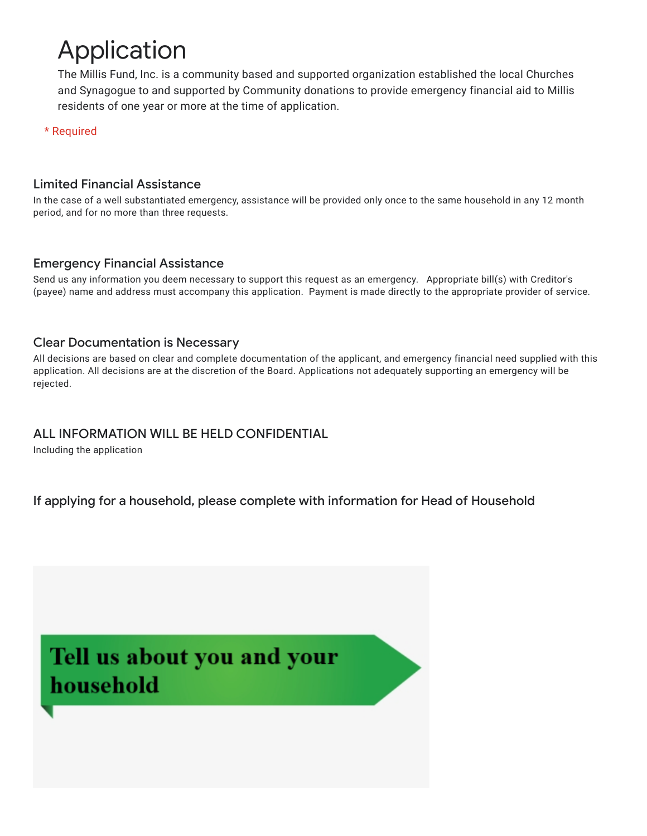# Application

The Millis Fund, Inc. is a community based and supported organization established the local Churches and Synagogue to and supported by Community donations to provide emergency financial aid to Millis residents of one year or more at the time of application.

\* Required

#### Limited Financial Assistance

In the case of a well substantiated emergency, assistance will be provided only once to the same household in any 12 month period, and for no more than three requests.

### Emergency Financial Assistance

Send us any information you deem necessary to support this request as an emergency. Appropriate bill(s) with Creditor's (payee) name and address must accompany this application. Payment is made directly to the appropriate provider of service.

#### Clear Documentation is Necessary

All decisions are based on clear and complete documentation of the applicant, and emergency financial need supplied with this application. All decisions are at the discretion of the Board. Applications not adequately supporting an emergency will be rejected.

#### ALL INFORMATION WILL BE HELD CONFIDENTIAL

Including the application

If applying for a household, please complete with information for Head of Household

## Tell us about you and your household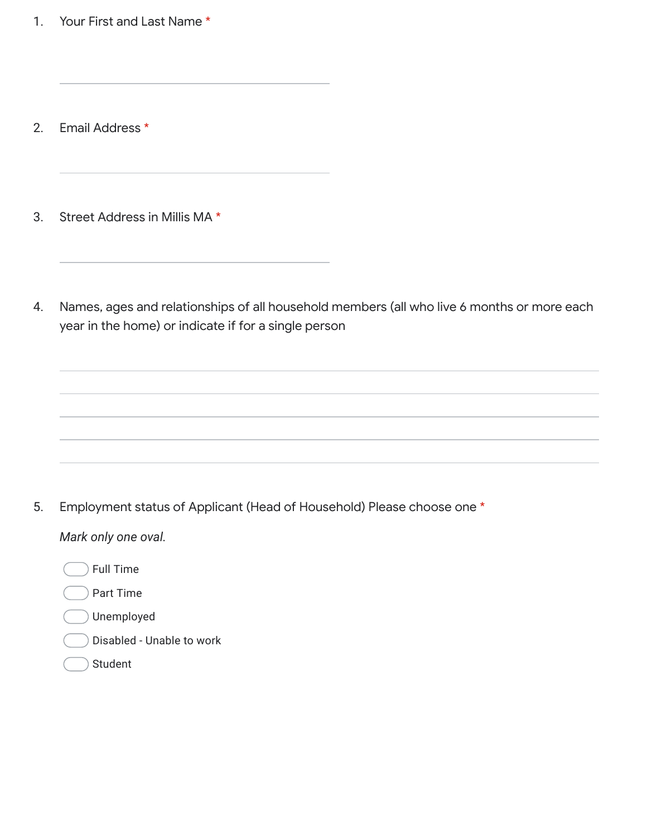1. Your First and Last Name \*

- 2. Email Address \*
- 3. Street Address in Millis MA \*
- 4. Names, ages and relationships of all household members (all who live 6 months or more each year in the home) or indicate if for a single person

5. Employment status of Applicant (Head of Household) Please choose one \*

*Mark only one oval.*

- Full Time
- Part Time
- Unemployed
- Disabled Unable to work
- Student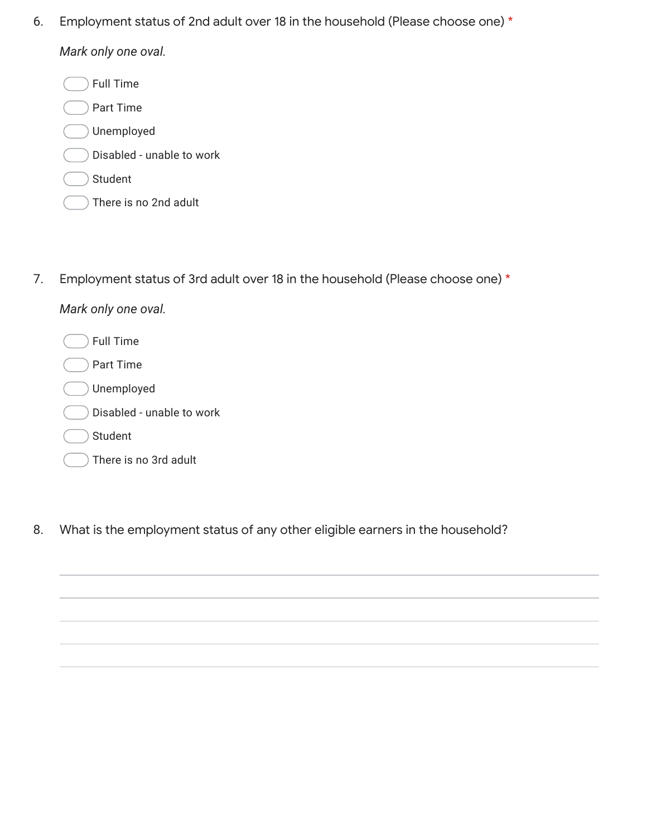6. Employment status of 2nd adult over 18 in the household (Please choose one) \*

*Mark only one oval.*

Full Time

Part Time

- Unemployed
- Disabled unable to work
- Student
	- There is no 2nd adult
- 7. Employment status of 3rd adult over 18 in the household (Please choose one) \*

| Mark only one oval. |
|---------------------|
|---------------------|

Full Time

- Part Time
- Unemployed
- Disabled unable to work
- Student

| There is no 3rd adult |
|-----------------------|
|-----------------------|

8. What is the employment status of any other eligible earners in the household?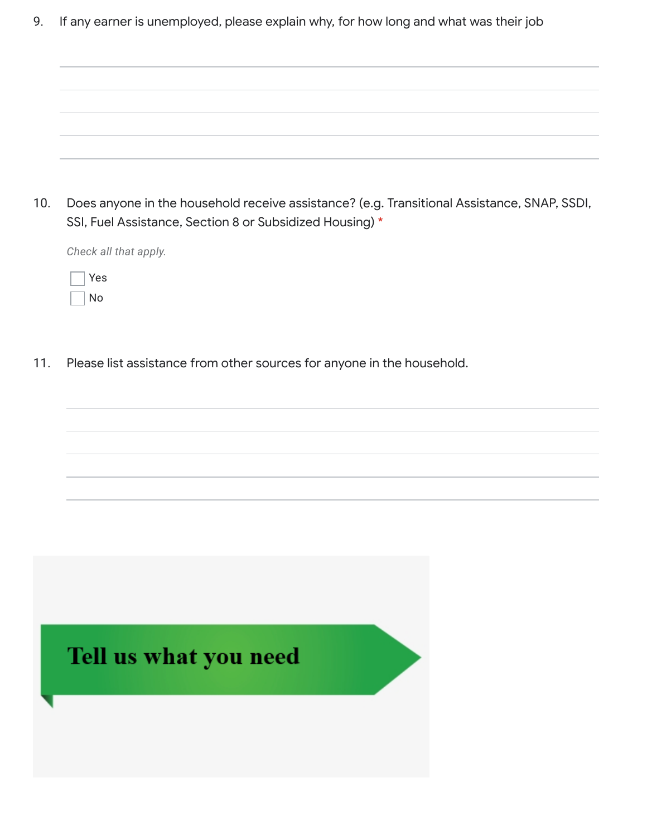9. If any earner is unemployed, please explain why, for how long and what was their job

| 10. Does anyone in the household receive assistance? (e.g. Transitional Assistance, SNAP, SSDI, |
|-------------------------------------------------------------------------------------------------|
| SSI, Fuel Assistance, Section 8 or Subsidized Housing) *                                        |

*Check all that apply.*

| ÷ |
|---|
|   |

11. Please list assistance from other sources for anyone in the household.

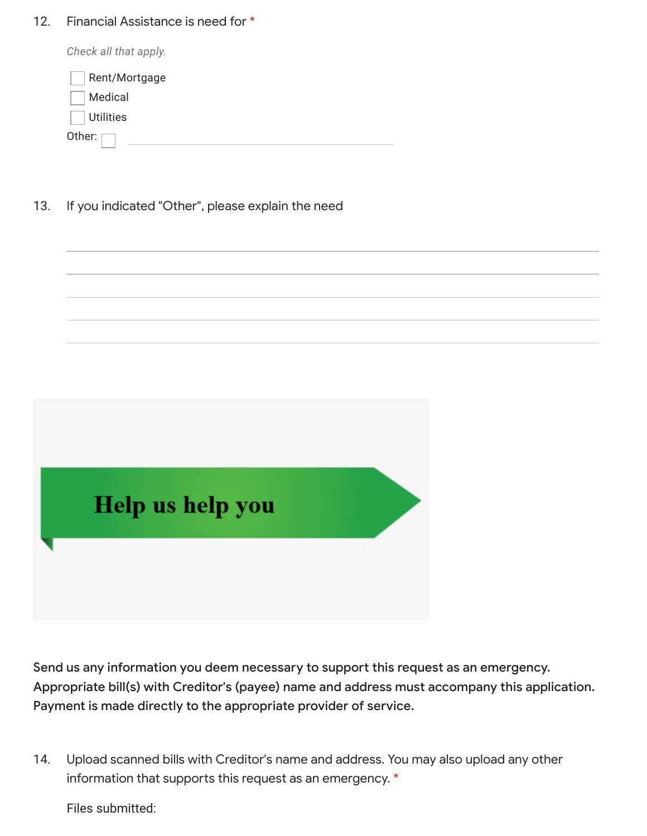#### 12. Financial Assistance is need for \*

Other: *Check all that apply.* Rent/Mortgage Medical **Utilities** 

13. If you indicated "Other", please explain the need



Send us any information you deem necessary to support this request as an emergency. Appropriate bill(s) with Creditor's (payee) name and address must accompany this application. Payment is made directly to the appropriate provider of service.

14. Upload scanned bills with Creditor's name and address. You may also upload any other information that supports this request as an emergency. \*

Files submitted: